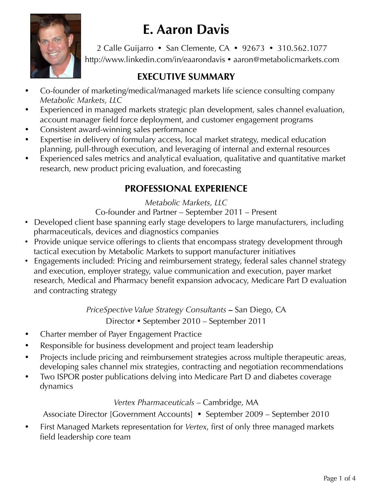

2 Calle Guijarro • San Clemente, CA • 92673 • 310.562.1077 http://www.linkedin.com/in/eaarondavis • aaron@metabolicmarkets.com

## **EXECUTIVE SUMMARY**

- Co-founder of marketing/medical/managed markets life science consulting company *Metabolic Markets, LLC*
- Experienced in managed markets strategic plan development, sales channel evaluation, account manager field force deployment, and customer engagement programs
- Consistent award-winning sales performance
- Expertise in delivery of formulary access, local market strategy, medical education planning, pull-through execution, and leveraging of internal and external resources
- Experienced sales metrics and analytical evaluation, qualitative and quantitative market research, new product pricing evaluation, and forecasting

### **PROFESSIONAL EXPERIENCE**

### *Metabolic Markets, LLC*

Co-founder and Partner – September 2011 – Present

- Developed client base spanning early stage developers to large manufacturers, including pharmaceuticals, devices and diagnostics companies
- Provide unique service offerings to clients that encompass strategy development through tactical execution by Metabolic Markets to support manufacturer initiatives
- Engagements included: Pricing and reimbursement strategy, federal sales channel strategy and execution, employer strategy, value communication and execution, payer market research, Medical and Pharmacy benefit expansion advocacy, Medicare Part D evaluation and contracting strategy

*PriceSpective Value Strategy Consultants* **–** San Diego, CA Director • September 2010 – September 2011

- Charter member of Payer Engagement Practice
- Responsible for business development and project team leadership
- Projects include pricing and reimbursement strategies across multiple therapeutic areas, developing sales channel mix strategies, contracting and negotiation recommendations
- Two ISPOR poster publications delving into Medicare Part D and diabetes coverage dynamics

### *Vertex Pharmaceuticals* – Cambridge, MA

Associate Director [Government Accounts] • September 2009 – September 2010

 First Managed Markets representation for *Vertex*, first of only three managed markets field leadership core team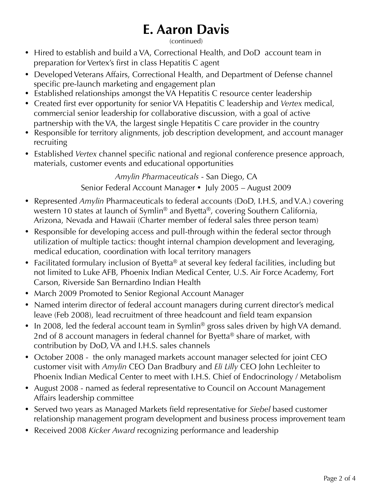#### (continued)

- Hired to establish and build a VA, Correctional Health, and DoD account team in preparation for Vertex's first in class Hepatitis C agent
- Developed Veterans Affairs, Correctional Health, and Department of Defense channel specific pre-launch marketing and engagement plan
- Established relationships amongst the VA Hepatitis C resource center leadership
- Created first ever opportunity for senior VA Hepatitis C leadership and *Vertex* medical, commercial senior leadership for collaborative discussion, with a goal of active partnership with the VA, the largest single Hepatitis C care provider in the country
- Responsible for territory alignments, job description development, and account manager recruiting
- Established *Vertex* channel specific national and regional conference presence approach, materials, customer events and educational opportunities

*Amylin Pharmaceuticals* - San Diego, CA

Senior Federal Account Manager • July 2005 - August 2009

- Represented *Amylin* Pharmaceuticals to federal accounts (DoD, I.H.S, and V.A.) covering western 10 states at launch of Symlin® and Byetta®, covering Southern California, Arizona, Nevada and Hawaii (Charter member of federal sales three person team)
- Responsible for developing access and pull-through within the federal sector through utilization of multiple tactics: thought internal champion development and leveraging, medical education, coordination with local territory managers
- Facilitated formulary inclusion of Byetta<sup>®</sup> at several key federal facilities, including but not limited to Luke AFB, Phoenix Indian Medical Center, U.S. Air Force Academy, Fort Carson, Riverside San Bernardino Indian Health
- March 2009 Promoted to Senior Regional Account Manager
- Named interim director of federal account managers during current director's medical leave (Feb 2008), lead recruitment of three headcount and field team expansion
- In 2008, led the federal account team in Symlin<sup>®</sup> gross sales driven by high VA demand. 2nd of 8 account managers in federal channel for Byetta® share of market, with contribution by DoD, VA and I.H.S. sales channels
- October 2008 the only managed markets account manager selected for joint CEO customer visit with *Amylin* CEO Dan Bradbury and *Eli Lilly* CEO John Lechleiter to Phoenix Indian Medical Center to meet with I.H.S. Chief of Endocrinology / Metabolism
- August 2008 named as federal representative to Council on Account Management Affairs leadership committee
- Served two years as Managed Markets field representative for *Siebel* based customer relationship management program development and business process improvement team
- Received 2008 *Kicker Award* recognizing performance and leadership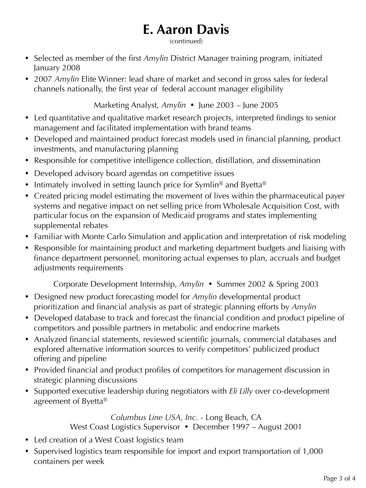(continued)

- Selected as member of the first *Amylin* District Manager training program, initiated January 2008
- 2007 *Amylin* Elite Winner: lead share of market and second in gross sales for federal channels nationally, the first year of federal account manager eligibility

Marketing Analyst, *Amylin* • June 2003 – June 2005

- Led quantitative and qualitative market research projects, interpreted findings to senior management and facilitated implementation with brand teams
- Developed and maintained product forecast models used in financial planning, product investments, and manufacturing planning
- Responsible for competitive intelligence collection, distillation, and dissemination
- Developed advisory board agendas on competitive issues
- Intimately involved in setting launch price for Symlin<sup>®</sup> and Byetta<sup>®</sup>
- Created pricing model estimating the movement of lives within the pharmaceutical payer systems and negative impact on net selling price from Wholesale Acquisition Cost, with particular focus on the expansion of Medicaid programs and states implementing supplemental rebates
- Familiar with Monte Carlo Simulation and application and interpretation of risk modeling
- Responsible for maintaining product and marketing department budgets and liaising with finance department personnel, monitoring actual expenses to plan, accruals and budget adjustments requirements

Corporate Development Internship, *Amylin* • Summer 2002 & Spring 2003

- Designed new product forecasting model for *Amylin* developmental product prioritization and financial analysis as part of strategic planning efforts by *Amylin*
- Developed database to track and forecast the financial condition and product pipeline of competitors and possible partners in metabolic and endocrine markets
- Analyzed financial statements, reviewed scientific journals, commercial databases and explored alternative information sources to verify competitors' publicized product offering and pipeline
- Provided financial and product profiles of competitors for management discussion in strategic planning discussions
- Supported executive leadership during negotiators with *Eli Lilly* over co-development agreement of Byetta®

*Columbus Line USA, Inc.* - Long Beach, CA West Coast Logistics Supervisor • December 1997 – August 2001

- Led creation of a West Coast logistics team
- Supervised logistics team responsible for import and export transportation of 1,000 containers per week